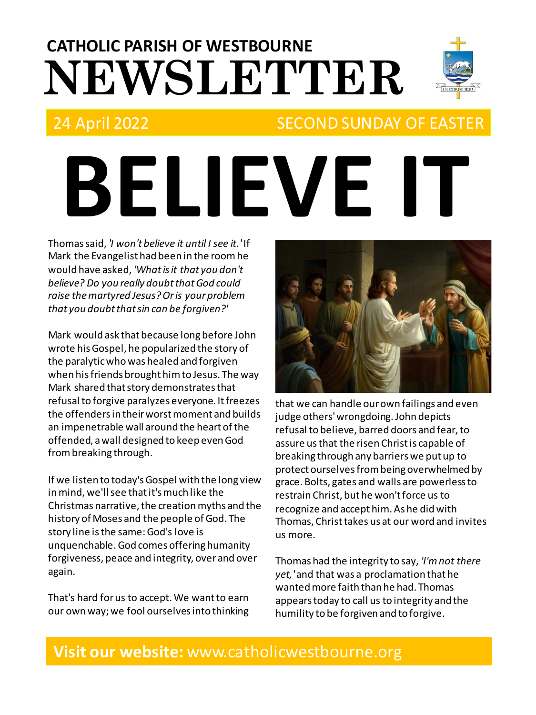# **NEWSLETTER CATHOLIC PARISH OF WESTBOURNE**



# 24 April 2022 SECOND SUNDAY OF EASTER

# **BELIEVE IT**

Thomas said, *'I won't believe it until I see it.'* If Mark the Evangelist had been in the room he would have asked, *'What is it that you don't believe? Do you really doubt that God could raise the martyred Jesus? Or is your problem that you doubt that sin can be forgiven?'*

Mark would ask that because long before John wrote his Gospel, he popularized the story of the paralytic who was healed and forgiven when his friends brought him to Jesus. The way Mark shared that story demonstrates that refusal to forgive paralyzes everyone. It freezes the offenders in their worst moment and builds an impenetrable wall around the heart of the offended, a wall designed to keep even God from breaking through.

If we listen to today's Gospel with the long view in mind, we'll see that it's much like the Christmas narrative, the creation myths and the history of Moses and the people of God. The story line is the same: God's love is unquenchable. God comes offering humanity forgiveness, peace and integrity, over and over again.

That's hard for us to accept. We want to earn our own way; we fool ourselves into thinking



that we can handle our own failings and even judge others' wrongdoing. John depicts refusal to believe, barred doors and fear, to assure usthat the risen Christ is capable of breaking through any barriers we put up to protect ourselves from being overwhelmed by grace. Bolts, gates and walls are powerless to restrain Christ, but he won't force us to recognize and accept him. As he did with Thomas, Christ takes us at our word and invites us more.

Thomas had the integrity to say, *'I'm not there yet,'*and that was a proclamation that he wanted more faith than he had. Thomas appears today to call us to integrity and the humility to be forgiven and to forgive.

## **Visit our website:** www.catholicwestbourne.org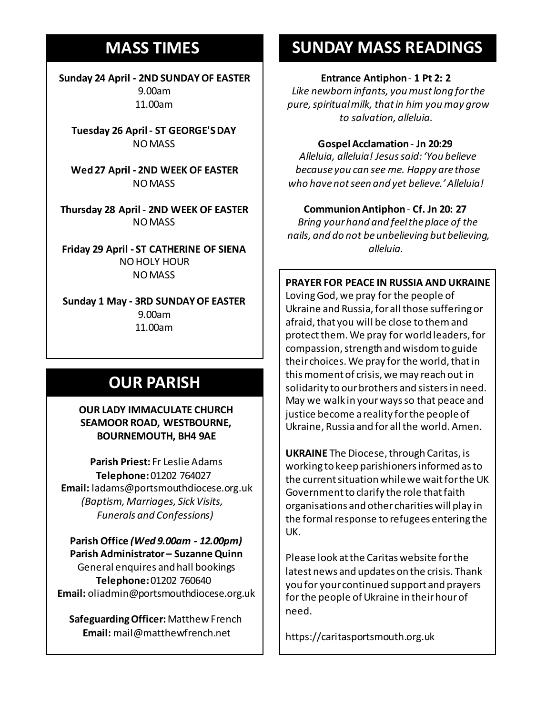# **MASS TIMES**

**Sunday 24 April - 2ND SUNDAY OF EASTER** 9.00am 11.00am

**Tuesday 26 April - ST GEORGE'S DAY** NO MASS

**Sunday 11th 9am:** *The Parish* **Wed 27 April - 2ND WEEK OF EASTER 11am** *Tim Mc Cann* NO MASS

**Wednesday 14th** *Repose of the souls of Bernard Charles and Elsie May Pratt* **Thursday 28 April - 2ND WEEK OF EASTER Saturday 16th** *Rosemarie Schofield RIP* NO MASS

**Sunday 18th 11am** *The Parish*  **Friday 29 April - ST CATHERINE OF SIENA** NO HOLY HOUR NO MASS

**Sunday 1 May - 3RD SUNDAY OF EASTER** 9.00am 11.00am

# **OUR PARISH**

**OUR LADY IMMACULATE CHURCH SEAMOOR ROAD, WESTBOURNE, BOURNEMOUTH, BH4 9AE**

**Parish Priest:** Fr Leslie Adams **Telephone:**01202 764027 **Email:** ladams@portsmouthdiocese.org.uk *(Baptism, Marriages, Sick Visits, Funerals and Confessions)*

**Parish Office** *(Wed 9.00am - 12.00pm)* **Parish Administrator – Suzanne Quinn** General enquires andhall bookings **Telephone:**01202 760640 **Email:** oliadmin@portsmouthdiocese.org.uk

**Safeguarding Officer:**Matthew French **Email:** mail@matthewfrench.net

# **SUNDAY MASS READINGS**

#### **Entrance Antiphon**- **1 Pt 2: 2**

*Like newborn infants, you must long for the pure, spiritual milk, that in him you may grow to salvation, alleluia.* 

**Gospel Acclamation**- **Jn 20:29**

*Alleluia, alleluia! Jesus said: 'You believe because you can see me. Happy are those who have not seen and yet believe.' Alleluia!* 

#### **Communion Antiphon**- **Cf. Jn 20: 27**

*Bring your hand and feel the place of the nails, and do not be unbelieving but believing, alleluia.* 

#### **PRAYER FOR PEACE IN RUSSIA AND UKRAINE**

Loving God, we pray for the people of Ukraine and Russia, for all those suffering or afraid, that you will be close to them and protect them. We pray for world leaders, for compassion, strength and wisdom to guide their choices. We pray for the world, that in this moment of crisis, we may reach out in solidarity to our brothers and sisters in need. May we walk in your ways so that peace and justice become a reality for the people of Ukraine, Russia and for all the world. Amen.

**UKRAINE** The Diocese, through Caritas, is working to keep parishioners informed as to the current situation while we wait for the UK Government to clarify the role that faith organisations and other charities will play in the formal response to refugees entering the UK.

Please look at the Caritas website for the latest news and updates on the crisis. Thank you for your continued support and prayers for the people of Ukraine in their hour of need.

https://caritasportsmouth.org.uk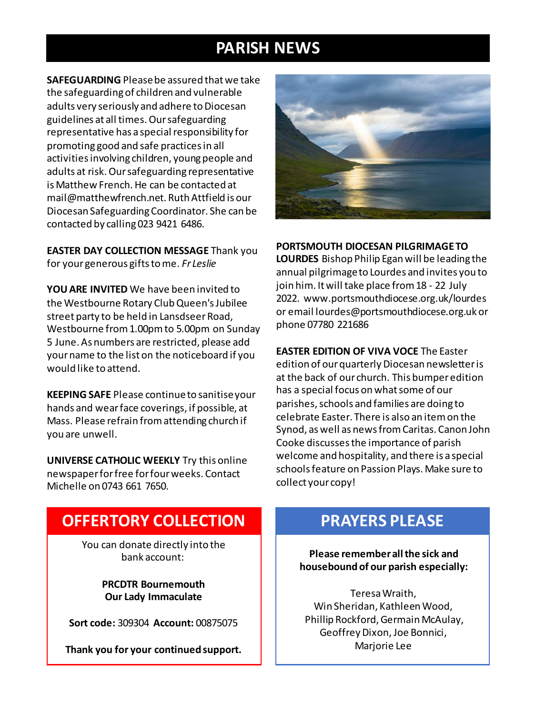# **PARISH NEWS**

**SAFEGUARDING** Please be assured that we take the safeguarding of children and vulnerable adults very seriously and adhere to Diocesan guidelines at all times. Our safeguarding representative has a special responsibility for promoting good and safe practices in all activities involving children, young people and adults at risk. Our safeguarding representative is Matthew French. He can be contacted at mail@matthewfrench.net. Ruth Attfield is our Diocesan Safeguarding Coordinator. She can be contacted by calling 023 9421 6486.

**EASTER DAY COLLECTION MESSAGE** Thank you for your generous gifts to me. *Fr Leslie*

**YOU ARE INVITED** We have been invited to the Westbourne Rotary Club Queen's Jubilee street party to be held in Lansdseer Road, Westbourne from 1.00pm to 5.00pm on Sunday 5 June. As numbers are restricted, please add your name to the list on the noticeboard if you would like to attend.

**KEEPING SAFE** Please continue to sanitise your hands and wear face coverings, if possible, at Mass. Please refrain from attending church if you are unwell.

**UNIVERSE CATHOLIC WEEKLY** Try this online newspaper for free for four weeks. Contact Michelle on 0743 661 7650.



#### **PORTSMOUTH DIOCESAN PILGRIMAGE TO**

**LOURDES** Bishop Philip Egan will be leading the annual pilgrimage to Lourdes and invites you to join him. It will take place from 18 - 22 July 2022. www.portsmouthdiocese.org.uk/lourdes or email lourdes@portsmouthdiocese.org.uk or phone 07780 221686

**EASTER EDITION OF VIVA VOCE** The Easter edition of our quarterly Diocesan newsletter is at the back of our church. This bumper edition has a special focus on what some of our parishes, schools and families are doing to celebrate Easter. There is also an item on the Synod, as well as news from Caritas. Canon John Cooke discusses the importance of parish welcome and hospitality, and there is a special schools feature on Passion Plays. Make sure to collect your copy!

# **OFFERTORY COLLECTION**

You can donate directly into the bank account:

> **PRCDTR Bournemouth Our Lady Immaculate**

**Sort code:** 309304 **Account:** 00875075

**Thank you for your continued support.**

## **PRAYERS PLEASE**

**Please remember all the sick and housebound of our parish especially:**

Teresa Wraith, Win Sheridan, Kathleen Wood, Phillip Rockford, Germain McAulay, Geoffrey Dixon, Joe Bonnici, Marjorie Lee